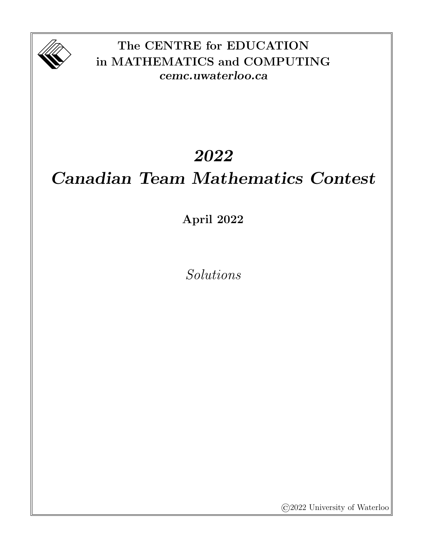

The CENTRE for EDUCATION in MATHEMATICS and COMPUTING cemc.uwaterloo.ca

# 2022 Canadian Team Mathematics Contest

April 2022

Solutions

©2022 University of Waterloo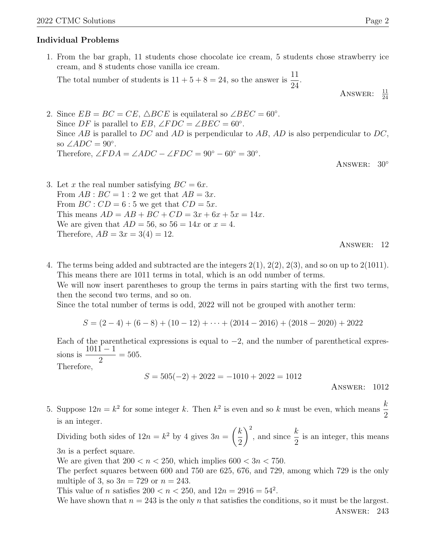#### Individual Problems

1. From the bar graph, 11 students chose chocolate ice cream, 5 students chose strawberry ice cream, and 8 students chose vanilla ice cream.

The total number of students is  $11 + 5 + 8 = 24$ , so the answer is  $\frac{11}{24}$ 24

ANSWER:  $\frac{11}{24}$ 

.

2. Since  $EB = BC = CE$ ,  $\triangle BCE$  is equilateral so  $\angle BEC = 60^{\circ}$ . Since  $DF$  is parallel to  $EB$ ,  $\angle FDC = \angle BEC = 60^{\circ}$ . Since AB is parallel to DC and AD is perpendicular to AB, AD is also perpendicular to DC, so  $\angle ADC = 90^\circ$ . Therefore,  $\angle FDA = \angle ADC - \angle FDC = 90^{\circ} - 60^{\circ} = 30^{\circ}$ . Answer: 30◦

3. Let x the real number satisfying  $BC = 6x$ . From  $AB : BC = 1 : 2$  we get that  $AB = 3x$ . From  $BC : CD = 6 : 5$  we get that  $CD = 5x$ . This means  $AD = AB + BC + CD = 3x + 6x + 5x = 14x$ . We are given that  $AD = 56$ , so  $56 = 14x$  or  $x = 4$ . Therefore,  $AB = 3x = 3(4) = 12$ .

Answer: 12

4. The terms being added and subtracted are the integers  $2(1)$ ,  $2(2)$ ,  $2(3)$ , and so on up to  $2(1011)$ . This means there are 1011 terms in total, which is an odd number of terms.

We will now insert parentheses to group the terms in pairs starting with the first two terms, then the second two terms, and so on.

Since the total number of terms is odd, 2022 will not be grouped with another term:

$$
S = (2 - 4) + (6 - 8) + (10 - 12) + \cdots + (2014 - 2016) + (2018 - 2020) + 2022
$$

Each of the parenthetical expressions is equal to  $-2$ , and the number of parenthetical expressions is  $1011 - 1$ 2  $= 505.$ Therefore,

$$
S = 505(-2) + 2022 = -1010 + 2022 = 1012
$$

Answer: 1012

5. Suppose  $12n = k^2$  for some integer k. Then  $k^2$  is even and so k must be even, which means  $\frac{k}{2}$ 2 is an integer.

Dividing both sides of  $12n = k^2$  by 4 gives  $3n = \left(\frac{k}{2}\right)$ 2  $\int_{0}^{2}$ , and since  $\frac{k}{2}$ 2 is an integer, this means 3n is a perfect square.

We are given that  $200 < n < 250$ , which implies  $600 < 3n < 750$ .

The perfect squares between 600 and 750 are 625, 676, and 729, among which 729 is the only multiple of 3, so  $3n = 729$  or  $n = 243$ .

This value of *n* satisfies  $200 < n < 250$ , and  $12n = 2916 = 54^2$ .

We have shown that  $n = 243$  is the only n that satisfies the conditions, so it must be the largest. Answer: 243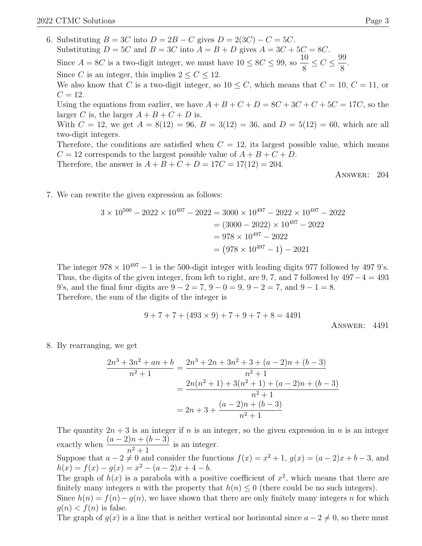- 6. Substituting  $B = 3C$  into  $D = 2B C$  gives  $D = 2(3C) C = 5C$ . Substituting  $D = 5C$  and  $B = 3C$  into  $A = B + D$  gives  $A = 3C + 5C = 8C$ . Since  $A = 8C$  is a two-digit integer, we must have  $10 \leq 8C \leq 99$ , so  $\frac{10}{2}$ 8  $\leq C \leq \frac{99}{2}$ 8 . Since C is an integer, this implies  $2 \leq C \leq 12$ . We also know that C is a two-digit integer, so  $10 \leq C$ , which means that  $C = 10$ ,  $C = 11$ , or  $C = 12.$ Using the equations from earlier, we have  $A + B + C + D = 8C + 3C + C + 5C = 17C$ , so the larger C is, the larger  $A + B + C + D$  is. With  $C = 12$ , we get  $A = 8(12) = 96$ ,  $B = 3(12) = 36$ , and  $D = 5(12) = 60$ , which are all two-digit integers. Therefore, the conditions are satisfied when  $C = 12$ , its largest possible value, which means  $C = 12$  corresponds to the largest possible value of  $A + B + C + D$ . Therefore, the answer is  $A + B + C + D = 17C = 17(12) = 204$ .
	- Answer: 204

7. We can rewrite the given expression as follows:

$$
3 \times 10^{500} - 2022 \times 10^{497} - 2022 = 3000 \times 10^{497} - 2022 \times 10^{497} - 2022
$$
  
=  $(3000 - 2022) \times 10^{497} - 2022$   
=  $978 \times 10^{497} - 2022$   
=  $(978 \times 10^{497} - 1) - 2021$ 

The integer  $978 \times 10^{497} - 1$  is the 500-digit integer with leading digits 977 followed by 497 9's. Thus, the digits of the given integer, from left to right, are 9, 7, and 7 followed by  $497-4 = 493$ 9's, and the final four digits are  $9 - 2 = 7$ ,  $9 - 0 = 9$ ,  $9 - 2 = 7$ , and  $9 - 1 = 8$ . Therefore, the sum of the digits of the integer is

$$
9 + 7 + 7 + (493 \times 9) + 7 + 9 + 7 + 8 = 4491
$$
  
Answer: 4491

8. By rearranging, we get

$$
\frac{2n^3 + 3n^2 + an + b}{n^2 + 1} = \frac{2n^3 + 2n + 3n^2 + 3 + (a - 2)n + (b - 3)}{n^2 + 1}
$$

$$
= \frac{2n(n^2 + 1) + 3(n^2 + 1) + (a - 2)n + (b - 3)}{n^2 + 1}
$$

$$
= 2n + 3 + \frac{(a - 2)n + (b - 3)}{n^2 + 1}
$$

The quantity  $2n + 3$  is an integer if n is an integer, so the given expression in n is an integer exactly when  $\frac{(a-2)n + (b-3)}{2}$  $\frac{n^2+1}{n^2+1}$  is an integer. Suppose that  $a - 2 \neq 0$  and consider the functions  $f(x) = x^2 + 1$ ,  $g(x) = (a - 2)x + b - 3$ , and  $h(x) = f(x) - g(x) = x^2 - (a - 2)x + 4 - b.$ The graph of  $h(x)$  is a parabola with a positive coefficient of  $x^2$ , which means that there are finitely many integers n with the property that  $h(n) \leq 0$  (there could be no such integers). Since  $h(n) = f(n) - g(n)$ , we have shown that there are only finitely many integers n for which

 $q(n) < f(n)$  is false.

The graph of  $g(x)$  is a line that is neither vertical nor horizontal since  $a - 2 \neq 0$ , so there must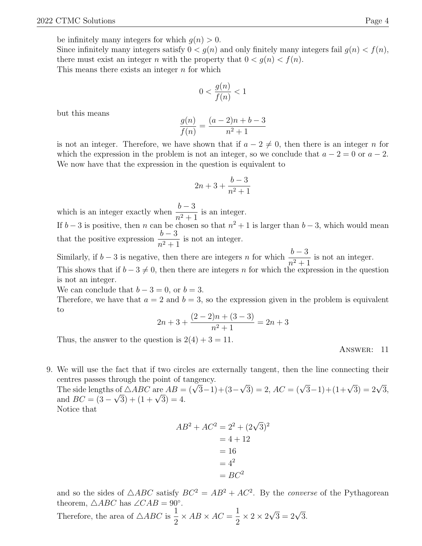be infinitely many integers for which  $g(n) > 0$ .

Since infinitely many integers satisfy  $0 < g(n)$  and only finitely many integers fail  $g(n) < f(n)$ , there must exist an integer n with the property that  $0 < g(n) < f(n)$ . This means there exists an integer  $n$  for which

$$
0 < \frac{g(n)}{f(n)} < 1
$$

but this means

$$
\frac{g(n)}{f(n)} = \frac{(a-2)n + b - 3}{n^2 + 1}
$$

is not an integer. Therefore, we have shown that if  $a - 2 \neq 0$ , then there is an integer n for which the expression in the problem is not an integer, so we conclude that  $a - 2 = 0$  or  $a - 2$ . We now have that the expression in the question is equivalent to

$$
2n + 3 + \frac{b-3}{n^2 + 1}
$$

which is an integer exactly when  $\frac{b-3}{3}$  $\frac{6}{n^2+1}$  is an integer. If  $b-3$  is positive, then n can be chosen so that  $n^2+1$  is larger than  $b-3$ , which would mean that the positive expression  $\frac{b-3}{2}$  $\frac{0}{n^2+1}$  is not an integer.

Similarly, if  $b-3$  is negative, then there are integers n for which  $\frac{b-3}{2}$  $\frac{0}{n^2+1}$  is not an integer. This shows that if  $b - 3 \neq 0$ , then there are integers n for which the expression in the question is not an integer.

We can conclude that  $b-3=0$ , or  $b=3$ .

Therefore, we have that  $a = 2$  and  $b = 3$ , so the expression given in the problem is equivalent to

$$
2n + 3 + \frac{(2-2)n + (3-3)}{n^2 + 1} = 2n + 3
$$

Thus, the answer to the question is  $2(4) + 3 = 11$ .

ANSWER: 11

9. We will use the fact that if two circles are externally tangent, then the line connecting their centres passes through the point of tangency.

centres passes through the point of tangency.<br>The side lengths of  $\triangle ABC$  are  $AB = (\sqrt{3}-1)+(3-1)$ frough the point of tangency.<br>
of  $\triangle ABC$  are  $AB = (\sqrt{3}-1)+(3-\sqrt{3}) = 2$ ,  $AC = (\sqrt{3}-1)+(1+\sqrt{3}) = 2\sqrt{3}$ , The side lengths of  $\triangle ABC$  are  $AB =$ <br>and  $BC = (3 - \sqrt{3}) + (1 + \sqrt{3}) = 4$ . Notice that

$$
AB2 + AC2 = 22 + (2\sqrt{3})2
$$
  
= 4 + 12  
= 16  
= 4<sup>2</sup>  
= BC<sup>2</sup>

and so the sides of  $\triangle ABC$  satisfy  $BC^2 = AB^2 + AC^2$ . By the *converse* of the Pythagorean theorem,  $\triangle ABC$  has  $\angle CAB = 90^\circ$ .

Therefore, the area of  $\triangle ABC$  is  $\frac{1}{2}$ 2  $\times AB \times AC = \frac{1}{2}$ 2  $\times$  2  $\times$  2  $\sqrt{3} = 2\sqrt{3}.$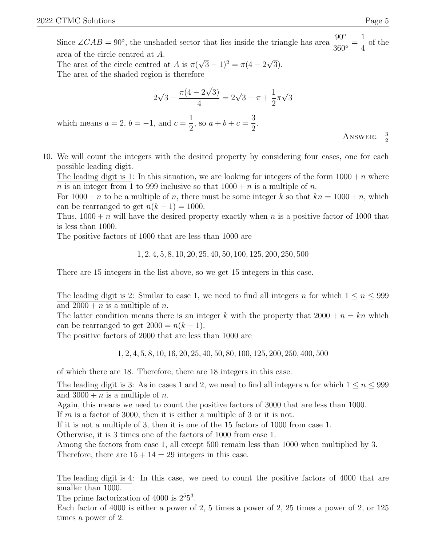Since ∠CAB = 90°, the unshaded sector that lies inside the triangle has area  $\frac{90°}{200°}$  $\frac{58}{360^{\circ}}$  = 1 4 of the area of the circle centred at A. The area of the circle centred at A is  $\pi$ . √  $(3-1)^2 = \pi(4-2)$ √ 3).

The area of the shaded region is therefore

$$
2\sqrt{3} - \frac{\pi(4 - 2\sqrt{3})}{4} = 2\sqrt{3} - \pi + \frac{1}{2}\pi\sqrt{3}
$$

.

which means  $a = 2$ ,  $b = -1$ , and  $c = \frac{1}{2}$ 2 , so  $a + b + c =$ 3 2

ANSWER:  $\frac{3}{2}$ 

10. We will count the integers with the desired property by considering four cases, one for each possible leading digit.

The leading digit is 1: In this situation, we are looking for integers of the form  $1000 + n$  where n is an integer from 1 to 999 inclusive so that  $1000 + n$  is a multiple of n.

For  $1000 + n$  to be a multiple of n, there must be some integer k so that  $kn = 1000 + n$ , which can be rearranged to get  $n(k-1) = 1000$ .

Thus,  $1000 + n$  will have the desired property exactly when n is a positive factor of 1000 that is less than 1000.

The positive factors of 1000 that are less than 1000 are

$$
1, 2, 4, 5, 8, 10, 20, 25, 40, 50, 100, 125, 200, 250, 500
$$

There are 15 integers in the list above, so we get 15 integers in this case.

The leading digit is 2: Similar to case 1, we need to find all integers n for which  $1 \leq n \leq 999$ and  $2000 + n$  is a multiple of n.

The latter condition means there is an integer k with the property that  $2000 + n = kn$  which can be rearranged to get  $2000 = n(k - 1)$ .

The positive factors of 2000 that are less than 1000 are

1, 2, 4, 5, 8, 10, 16, 20, 25, 40, 50, 80, 100, 125, 200, 250, 400, 500

of which there are 18. Therefore, there are 18 integers in this case.

The leading digit is 3: As in cases 1 and 2, we need to find all integers n for which  $1 \leq n \leq 999$ and  $3000 + n$  is a multiple of n.

Again, this means we need to count the positive factors of 3000 that are less than 1000.

If m is a factor of 3000, then it is either a multiple of 3 or it is not.

If it is not a multiple of 3, then it is one of the 15 factors of 1000 from case 1.

Otherwise, it is 3 times one of the factors of 1000 from case 1.

Among the factors from case 1, all except 500 remain less than 1000 when multiplied by 3. Therefore, there are  $15 + 14 = 29$  integers in this case.

The leading digit is 4: In this case, we need to count the positive factors of 4000 that are smaller than 1000.

The prime factorization of 4000 is  $2<sup>5</sup>5<sup>3</sup>$ .

Each factor of 4000 is either a power of 2, 5 times a power of 2, 25 times a power of 2, or 125 times a power of 2.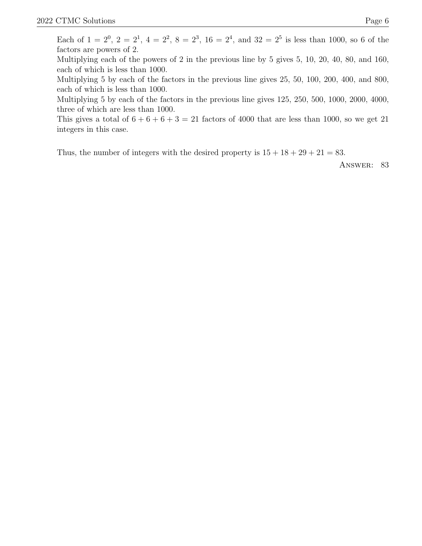Multiplying each of the powers of 2 in the previous line by 5 gives 5, 10, 20, 40, 80, and 160, each of which is less than 1000.

Multiplying 5 by each of the factors in the previous line gives 25, 50, 100, 200, 400, and 800, each of which is less than 1000.

Multiplying 5 by each of the factors in the previous line gives 125, 250, 500, 1000, 2000, 4000, three of which are less than 1000.

This gives a total of  $6 + 6 + 6 + 3 = 21$  factors of 4000 that are less than 1000, so we get 21 integers in this case.

Thus, the number of integers with the desired property is  $15 + 18 + 29 + 21 = 83$ .

Answer: 83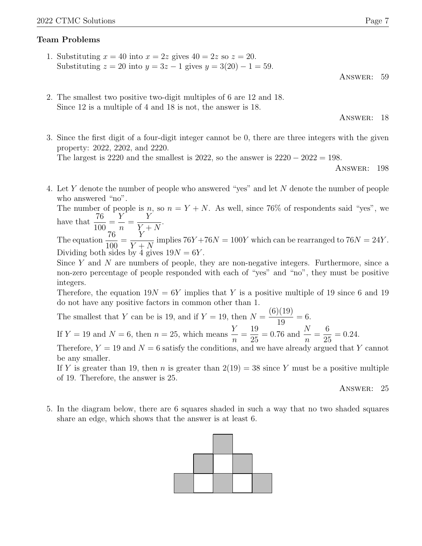# Team Problems

1. Substituting  $x = 40$  into  $x = 2z$  gives  $40 = 2z$  so  $z = 20$ . Substituting  $z = 20$  into  $y = 3z - 1$  gives  $y = 3(20) - 1 = 59$ .

- Answer: 59
- 2. The smallest two positive two-digit multiples of 6 are 12 and 18. Since 12 is a multiple of 4 and 18 is not, the answer is 18.

Answer: 18

3. Since the first digit of a four-digit integer cannot be 0, there are three integers with the given property: 2022, 2202, and 2220. The largest is 2220 and the smallest is 2022, so the answer is  $2220 - 2022 = 198$ .

Answer: 198

4. Let Y denote the number of people who answered "yes" and let N denote the number of people who answered "no".

The number of people is n, so  $n = Y + N$ . As well, since 76% of respondents said "yes", we have that  $\frac{76}{100}$ 100 = Y n = Y  $Y + N$ .

The equation  $\frac{76}{100}$ 100 = Y  $Y + N$ implies  $76Y + 76N = 100Y$  which can be rearranged to  $76N = 24Y$ . Dividing both sides by 4 gives  $19N = 6Y$ .

Since  $Y$  and  $N$  are numbers of people, they are non-negative integers. Furthermore, since a non-zero percentage of people responded with each of "yes" and "no", they must be positive integers.

Therefore, the equation  $19N = 6Y$  implies that Y is a positive multiple of 19 since 6 and 19 do not have any positive factors in common other than 1.

The smallest that Y can be is 19, and if  $Y = 19$ , then  $N =$  $(6)(19)$ 19  $= 6.$ 

If  $Y = 19$  and  $N = 6$ , then  $n = 25$ , which means  $\frac{Y}{Y}$ n = 19 25  $= 0.76$  and  $\frac{N}{N}$ n = 6 25  $= 0.24.$ 

Therefore,  $Y = 19$  and  $N = 6$  satisfy the conditions, and we have already argued that Y cannot be any smaller.

If Y is greater than 19, then n is greater than  $2(19) = 38$  since Y must be a positive multiple of 19. Therefore, the answer is 25.

Answer: 25

5. In the diagram below, there are 6 squares shaded in such a way that no two shaded squares share an edge, which shows that the answer is at least 6.

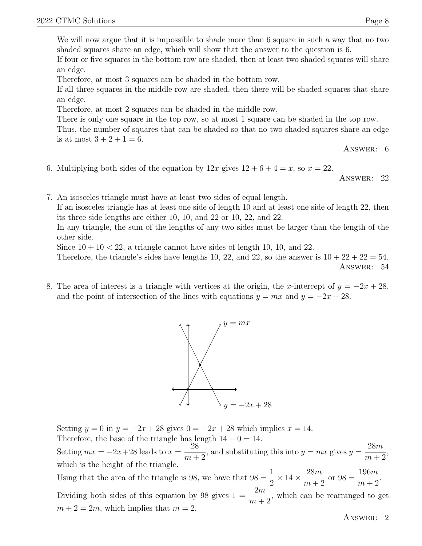We will now argue that it is impossible to shade more than 6 square in such a way that no two shaded squares share an edge, which will show that the answer to the question is 6.

If four or five squares in the bottom row are shaded, then at least two shaded squares will share an edge.

Therefore, at most 3 squares can be shaded in the bottom row.

If all three squares in the middle row are shaded, then there will be shaded squares that share an edge.

Therefore, at most 2 squares can be shaded in the middle row.

There is only one square in the top row, so at most 1 square can be shaded in the top row.

Thus, the number of squares that can be shaded so that no two shaded squares share an edge is at most  $3 + 2 + 1 = 6$ .

Answer: 6

6. Multiplying both sides of the equation by  $12x$  gives  $12 + 6 + 4 = x$ , so  $x = 22$ .

Answer: 22

7. An isosceles triangle must have at least two sides of equal length. If an isosceles triangle has at least one side of length 10 and at least one side of length 22, then its three side lengths are either 10, 10, and 22 or 10, 22, and 22. In any triangle, the sum of the lengths of any two sides must be larger than the length of the other side. Since  $10 + 10 < 22$ , a triangle cannot have sides of length 10, 10, and 22.

Therefore, the triangle's sides have lengths 10, 22, and 22, so the answer is  $10 + 22 + 22 = 54$ . Answer: 54

8. The area of interest is a triangle with vertices at the origin, the x-intercept of  $y = -2x + 28$ , and the point of intersection of the lines with equations  $y = mx$  and  $y = -2x + 28$ .



Setting  $y = 0$  in  $y = -2x + 28$  gives  $0 = -2x + 28$  which implies  $x = 14$ . Therefore, the base of the triangle has length  $14 - 0 = 14$ . Setting  $mx = -2x+28$  leads to  $x = \frac{28}{x}$  $m+2$ , and substituting this into  $y = mx$  gives  $y =$ 28m  $m+2$ , which is the height of the triangle. Using that the area of the triangle is 98, we have that  $98 = \frac{1}{2}$ 2  $\times$  14  $\times \frac{28m}{\sqrt{3}}$  $m+2$ or  $98 =$ 196m  $m+2$ . Dividing both sides of this equation by 98 gives  $1 = \frac{2m}{\sigma}$  $m+2$ , which can be rearranged to get  $m + 2 = 2m$ , which implies that  $m = 2$ .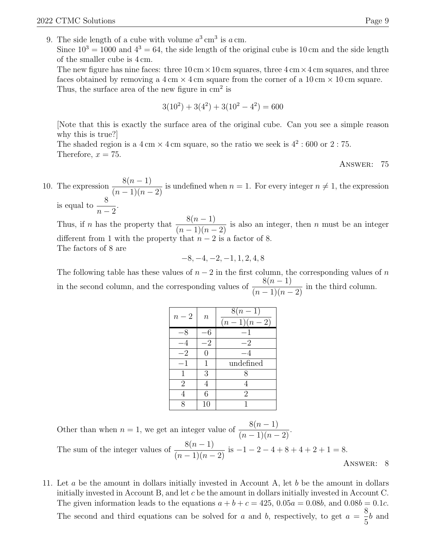Since  $10^3 = 1000$  and  $4^3 = 64$ , the side length of the original cube is 10 cm and the side length of the smaller cube is 4 cm.

The new figure has nine faces: three  $10 \text{ cm} \times 10 \text{ cm}$  squares, three  $4 \text{ cm} \times 4 \text{ cm}$  squares, and three faces obtained by removing a  $4 \text{ cm} \times 4 \text{ cm}$  square from the corner of a  $10 \text{ cm} \times 10 \text{ cm}$  square. Thus, the surface area of the new figure in  $\text{cm}^2$  is

$$
3(10^2) + 3(4^2) + 3(10^2 - 4^2) = 600
$$

[Note that this is exactly the surface area of the original cube. Can you see a simple reason why this is true?]

The shaded region is a  $4 \text{ cm} \times 4 \text{ cm}$  square, so the ratio we seek is  $4^2$ : 600 or 2:75. Therefore,  $x = 75$ .

Answer: 75

10. The expression  $\frac{8(n-1)}{2n}$  $\frac{\sigma(n-1)}{(n-1)(n-2)}$  is undefined when  $n = 1$ . For every integer  $n \neq 1$ , the expression is equal to  $\frac{8}{5}$  $n-2$ .

Thus, if *n* has the property that  $\frac{8(n-1)}{6}$  $\frac{\sigma(n-1)}{(n-1)(n-2)}$  is also an integer, then *n* must be an integer different from 1 with the property that  $n-2$  is a factor of 8. The factors of 8 are

$$
-8, -4, -2, -1, 1, 2, 4, 8
$$

The following table has these values of  $n-2$  in the first column, the corresponding values of n in the second column, and the corresponding values of  $\frac{8(n-1)}{6(n-1)}$  $\frac{O(n^2-1)}{(n-1)(n-2)}$  in the third column.

| $n-2$ | $\boldsymbol{n}$ | $8(n-1)$<br>$(n-1)(n-2)$ |
|-------|------------------|--------------------------|
| $-8$  |                  | $-1$                     |
|       | -2               | -2                       |
| $-2$  |                  |                          |
|       |                  | undefined                |
|       | 3                |                          |
| 2     |                  |                          |
|       | 6                | 2                        |
|       | 10               |                          |

Other than when  $n = 1$ , we get an integer value of  $\frac{8(n-1)}{6}$  $\frac{O(n-1)}{(n-1)(n-2)}$ . The sum of the integer values of  $\frac{8(n-1)}{6}$  $\frac{6(n-1)}{(n-1)(n-2)}$  is  $-1-2-4+8+4+2+1=8$ . Answer: 8

11. Let a be the amount in dollars initially invested in Account A, let b be the amount in dollars initially invested in Account B, and let c be the amount in dollars initially invested in Account C. The given information leads to the equations  $a + b + c = 425$ ,  $0.05a = 0.08b$ , and  $0.08b = 0.1c$ . The second and third equations can be solved for a and b, respectively, to get  $a =$ 8 5 b and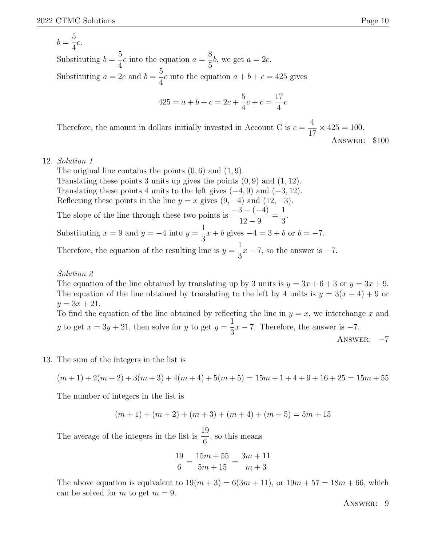$b =$ 5 4 c. Substituting  $b =$ 5 4 c into the equation  $a =$ 8 5 b, we get  $a = 2c$ . Substituting  $a = 2c$  and  $b =$ 5 4 c into the equation  $a + b + c = 425$  gives  $425 = a + b + c = 2c +$ 5 4  $c + c =$ 17 4 c Therefore, the amount in dollars initially invested in Account C is  $c =$ 4 17  $\times$  425 = 100.

Answer: \$100

## 12. Solution 1

The original line contains the points  $(0, 6)$  and  $(1, 9)$ . Translating these points 3 units up gives the points  $(0, 9)$  and  $(1, 12)$ . Translating these points 4 units to the left gives  $(-4, 9)$  and  $(-3, 12)$ . Reflecting these points in the line  $y = x$  gives  $(9, -4)$  and  $(12, -3)$ . The slope of the line through these two points is  $\frac{-3-(-4)}{-12}$  $12 - 9$ = 1 3 . Substituting  $x = 9$  and  $y = -4$  into  $y = \frac{1}{2}$ 3  $x + b$  gives  $-4 = 3 + b$  or  $b = -7$ . Therefore, the equation of the resulting line is  $y =$ 1 3  $x - 7$ , so the answer is  $-7$ .

### Solution 2

The equation of the line obtained by translating up by 3 units is  $y = 3x + 6 + 3$  or  $y = 3x + 9$ . The equation of the line obtained by translating to the left by 4 units is  $y = 3(x + 4) + 9$  or  $y = 3x + 21.$ 

To find the equation of the line obtained by reflecting the line in  $y = x$ , we interchange x and y to get  $x = 3y + 21$ , then solve for y to get  $y =$ 1 3  $x - 7$ . Therefore, the answer is  $-7$ . ANSWER:  $-7$ 

13. The sum of the integers in the list is

$$
(m+1) + 2(m+2) + 3(m+3) + 4(m+4) + 5(m+5) = 15m+1+4+9+16+25 = 15m+55
$$

The number of integers in the list is

$$
(m+1) + (m+2) + (m+3) + (m+4) + (m+5) = 5m + 15
$$

The average of the integers in the list is  $\frac{19}{6}$ 6 , so this means

$$
\frac{19}{6} = \frac{15m + 55}{5m + 15} = \frac{3m + 11}{m + 3}
$$

The above equation is equivalent to  $19(m + 3) = 6(3m + 11)$ , or  $19m + 57 = 18m + 66$ , which can be solved for m to get  $m = 9$ .

Answer: 9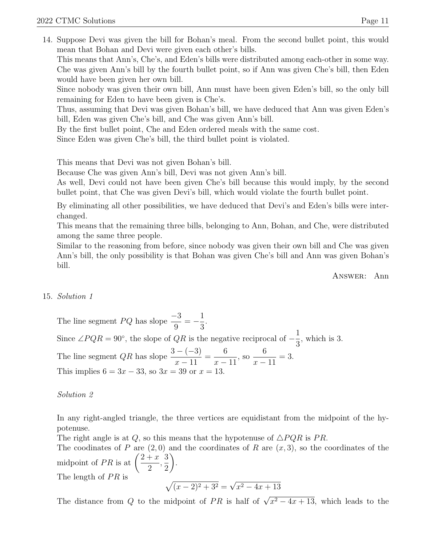This means that Ann's, Che's, and Eden's bills were distributed among each-other in some way. Che was given Ann's bill by the fourth bullet point, so if Ann was given Che's bill, then Eden would have been given her own bill.

Since nobody was given their own bill, Ann must have been given Eden's bill, so the only bill remaining for Eden to have been given is Che's.

Thus, assuming that Devi was given Bohan's bill, we have deduced that Ann was given Eden's bill, Eden was given Che's bill, and Che was given Ann's bill.

By the first bullet point, Che and Eden ordered meals with the same cost.

Since Eden was given Che's bill, the third bullet point is violated.

This means that Devi was not given Bohan's bill.

Because Che was given Ann's bill, Devi was not given Ann's bill.

As well, Devi could not have been given Che's bill because this would imply, by the second bullet point, that Che was given Devi's bill, which would violate the fourth bullet point.

By eliminating all other possibilities, we have deduced that Devi's and Eden's bills were interchanged.

This means that the remaining three bills, belonging to Ann, Bohan, and Che, were distributed among the same three people.

Similar to the reasoning from before, since nobody was given their own bill and Che was given Ann's bill, the only possibility is that Bohan was given Che's bill and Ann was given Bohan's bill.

Answer: Ann

# 15. Solution 1

The line segment  $PQ$  has slope  $\frac{-3}{2}$ 9  $=-\frac{1}{2}$ 3 . Since ∠ $PQR = 90^\circ$ , the slope of QR is the negative reciprocal of  $-\frac{1}{2}$ 3 , which is 3. The line segment  $QR$  has slope  $\frac{3-(-3)}{11}$  $x - 11$ = 6  $x - 11$ , so 6  $x - 11$  $= 3$ . This implies  $6 = 3x - 33$ , so  $3x = 39$  or  $x = 13$ .

Solution 2

In any right-angled triangle, the three vertices are equidistant from the midpoint of the hypotenuse.

The right angle is at Q, so this means that the hypotenuse of  $\triangle PQR$  is PR.

The coodinates of P are  $(2,0)$  and the coordinates of R are  $(x,3)$ , so the coordinates of the midpoint of PR is at  $\left(\frac{2+x}{2}\right)$ 2 , 3 2  $\setminus$ . The length of  $PR$  is √

$$
\sqrt{(x-2)^2 + 3^2} = \sqrt{x^2 - 4x + 13}
$$

The distance from Q to the midpoint of PR is half of  $\sqrt{x^2 - 4x + 13}$ , which leads to the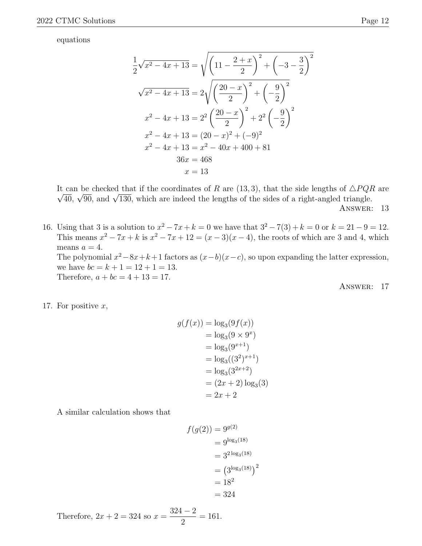equations

$$
\frac{1}{2}\sqrt{x^2 - 4x + 13} = \sqrt{\left(11 - \frac{2+x}{2}\right)^2 + \left(-3 - \frac{3}{2}\right)^2}
$$

$$
\sqrt{x^2 - 4x + 13} = 2\sqrt{\left(\frac{20 - x}{2}\right)^2 + \left(-\frac{9}{2}\right)^2}
$$

$$
x^2 - 4x + 13 = 2^2\left(\frac{20 - x}{2}\right)^2 + 2^2\left(-\frac{9}{2}\right)^2
$$

$$
x^2 - 4x + 13 = (20 - x)^2 + (-9)^2
$$

$$
x^2 - 4x + 13 = x^2 - 40x + 400 + 81
$$

$$
36x = 468
$$

$$
x = 13
$$

It can be checked that if the coordinates of R are  $(13,3)$ , that the side lengths of  $\triangle PQR$  are can be checked that if the coordinates of R are (13,3), that the side lengths of  $\triangle PQI$ <br>40,  $\sqrt{90}$ , and  $\sqrt{130}$ , which are indeed the lengths of the sides of a right-angled triangle.

ANSWER: 13

16. Using that 3 is a solution to  $x^2 - 7x + k = 0$  we have that  $3^2 - 7(3) + k = 0$  or  $k = 21 - 9 = 12$ . This means  $x^2 - 7x + k$  is  $x^2 - 7x + 12 = (x - 3)(x - 4)$ , the roots of which are 3 and 4, which means  $a = 4$ . The polynomial  $x^2-8x+k+1$  factors as  $(x-b)(x-c)$ , so upon expanding the latter expression, we have  $bc = k + 1 = 12 + 1 = 13$ . Therefore,  $a + bc = 4 + 13 = 17$ .

ANSWER: 17

17. For positive  $x$ ,

$$
g(f(x)) = \log_3(9f(x))
$$
  
= log<sub>3</sub>(9 × 9<sup>x</sup>)  
= log<sub>3</sub>(9<sup>x+1</sup>)  
= log<sub>3</sub>((3<sup>2</sup>)<sup>x+1</sup>)  
= log<sub>3</sub>(3<sup>2x+2</sup>)  
= (2x + 2) log<sub>3</sub>(3)  
= 2x + 2

A similar calculation shows that

$$
f(g(2)) = 9^{g(2)}
$$
  
=  $9^{\log_3(18)}$   
=  $3^{2 \log_3(18)}$   
=  $(3^{\log_3(18)})^2$   
=  $18^2$   
= 324

Therefore,  $2x + 2 = 324$  so  $x =$  $324 - 2$ 2  $= 161.$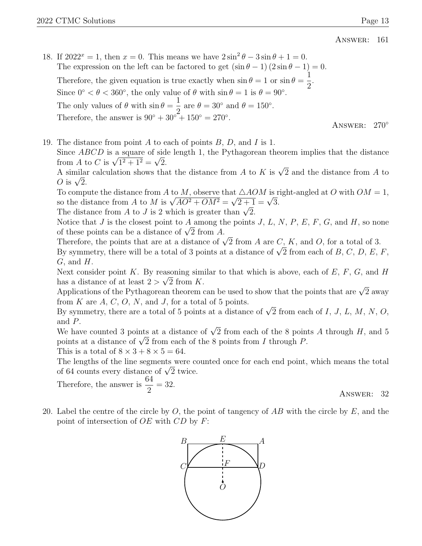- 18. If  $2022^x = 1$ , then  $x = 0$ . This means we have  $2\sin^2\theta 3\sin\theta + 1 = 0$ . The expression on the left can be factored to get  $(\sin \theta - 1) (2 \sin \theta - 1) = 0$ . Therefore, the given equation is true exactly when  $\sin \theta = 1$  or  $\sin \theta =$ 1 2 . Since  $0^{\circ} < \theta < 360^{\circ}$ , the only value of  $\theta$  with  $\sin \theta = 1$  is  $\theta = 90^{\circ}$ . The only values of  $\theta$  with  $\sin \theta =$ 1 2 are  $\theta = 30^{\circ}$  and  $\theta = 150^{\circ}$ . Therefore, the answer is  $90^{\circ} + 30^{\circ} + 150^{\circ} = 270^{\circ}$ . Answer: 270◦
- 19. The distance from point A to each of points  $B, D$ , and I is 1.

Since *ABCD* is a square of side length 1, the Pythagorean theorem implies that the distance Since *ABCD* is a square of side<br>from *A* to *C* is  $\sqrt{1^2 + 1^2} = \sqrt{2}$ .

From A to C is  $\sqrt{1^2 + 1^2} = \sqrt{2}$ .<br>A similar calculation shows that the distance from A to K is  $\sqrt{2}$  and the distance from A to A simila:<br>O is  $\sqrt{2}$ .

To compute the distance from A to M, observe that  $\triangle AOM$  is right-angled at O with  $OM = 1$ , so the distance from A to M is  $\sqrt{AO^2 + OM^2} = \sqrt{2+1} = \sqrt{3}$ .

so the distance from A to M is  $\sqrt{A}U^2 + UM^2 = \sqrt{2} + 1$ <br>The distance from A to J is 2 which is greater than  $\sqrt{2}$ .

Notice that  $J$  is the closest point to  $A$  among the points  $J, L, N, P, E, F, G$ , and  $H$ , so none Notice that  $J$  is the closest point to  $A$  among the of these points can be a distance of  $\sqrt{2}$  from  $A$ .

or these points can be a distance or  $\sqrt{2}$  from A.<br>Therefore, the points that are at a distance of  $\sqrt{2}$  from A are C, K, and O, for a total of 3.

Therefore, the points that are at a distance of  $\sqrt{2}$  from A are C,  $\Lambda$ , and O, for a total of 3.<br>By symmetry, there will be a total of 3 points at a distance of  $\sqrt{2}$  from each of B, C, D, E, F,  $G$ , and  $H$ .

Next consider point K. By reasoning similar to that which is above, each of E, F, G, and H has a distance of at least  $2 > \sqrt{2}$  from K.

nas a distance of at least  $z > \sqrt{z}$  from  $K$ .<br>Applications of the Pythagorean theorem can be used to show that the points that are  $\sqrt{2}$  away from  $K$  are  $A, C, O, N$ , and  $J$ , for a total of 5 points.

from  $K$  are  $A, C, O, N$ , and  $J$ , for a total of 5 points.<br>By symmetry, there are a total of 5 points at a distance of  $\sqrt{2}$  from each of I, J, L, M, N, O, and P.

and P.<br>We have counted 3 points at a distance of  $\sqrt{2}$  from each of the 8 points A through H, and 5 we nave counted 3 points at a distance of  $\sqrt{2}$  from each of the 8 points from *I* through *P*.

This is a total of  $8 \times 3 + 8 \times 5 = 64$ .

The lengths of the line segments were counted once for each end point, which means the total The lengths of the line segments were consider the counts every distance of  $\sqrt{2}$  twice.

Therefore, the answer is  $\frac{64}{2}$ 2  $= 32.$ 

ANSWER: 32

20. Label the centre of the circle by  $O$ , the point of tangency of AB with the circle by  $E$ , and the point of intersection of  $OE$  with  $CD$  by  $F$ :

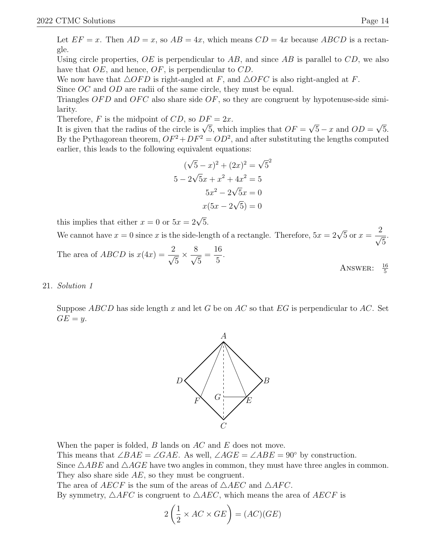Let  $EF = x$ . Then  $AD = x$ , so  $AB = 4x$ , which means  $CD = 4x$  because  $ABCD$  is a rectangle.

Using circle properties,  $OE$  is perpendicular to  $AB$ , and since  $AB$  is parallel to  $CD$ , we also have that OE, and hence, OF, is perpendicular to CD.

We now have that  $\triangle OFD$  is right-angled at F, and  $\triangle OFC$  is also right-angled at F.

Since *OC* and *OD* are radii of the same circle, they must be equal.

Triangles OFD and OFC also share side OF, so they are congruent by hypotenuse-side similarity.

Therefore, F is the midpoint of  $CD$ , so  $DF = 2x$ .

Therefore,  $F$  is the midpoint of  $CD$ , so  $DF = 2x$ .<br>It is given that the radius of the circle is  $\sqrt{5}$ , which implies that  $OF =$ √  $5 - x$  and  $OD =$ √ 5. By the Pythagorean theorem,  $OF^2 + DF^2 = OD^2$ , and after substituting the lengths computed earlier, this leads to the following equivalent equations:

$$
(\sqrt{5} - x)^2 + (2x)^2 = \sqrt{5}^2
$$
  
5 - 2 $\sqrt{5}x + x^2 + 4x^2 = 5$   

$$
5x^2 - 2\sqrt{5}x = 0
$$
  

$$
x(5x - 2\sqrt{5}) = 0
$$

this implies that either  $x = 0$  or  $5x = 2\sqrt{5}$ .

We cannot have  $x = 0$  since x is the side-length of a rectangle. Therefore,  $5x = 2\sqrt{5}$  or  $x =$  $\frac{2}{\sqrt{2}}$ 5 . The area of *ABCD* is  $x(4x) = \frac{2}{\sqrt{2}}$ 5  $\times \frac{8}{4}$ 5 = 16 5 . ANSWER:  $\frac{16}{5}$ 

$$
21. \ \ Solution \ \ 1
$$

Suppose  $ABCD$  has side length x and let G be on AC so that EG is perpendicular to AC. Set  $GE = y.$ 



When the paper is folded,  $B$  lands on  $AC$  and  $E$  does not move.

This means that  $\angle BAE = \angle GAE$ . As well,  $\angle AGE = \angle ABE = 90^{\circ}$  by construction.

Since  $\triangle ABE$  and  $\triangle AGE$  have two angles in common, they must have three angles in common. They also share side AE, so they must be congruent.

The area of AECF is the sum of the areas of  $\triangle AEC$  and  $\triangle AFC$ .

By symmetry,  $\triangle AFC$  is congruent to  $\triangle AEC$ , which means the area of AECF is

$$
2\left(\frac{1}{2} \times AC \times GE\right) = (AC)(GE)
$$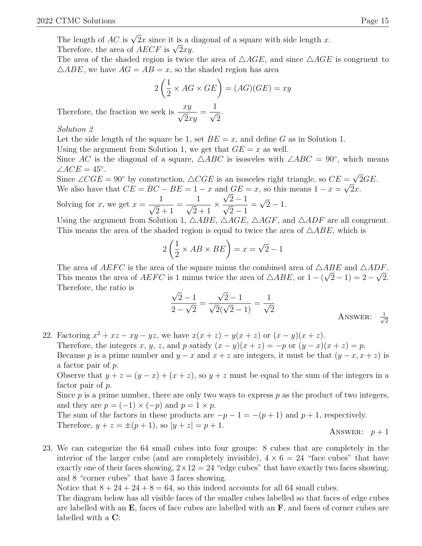The length of AC is  $\sqrt{2}x$  since it is a diagonal of a square with side length x. The rength of AC is  $\sqrt{2x}$  since it is a c<br>Therefore, the area of *AECF* is  $\sqrt{2xy}$ .

The area of the shaded region is twice the area of  $\triangle AGE$ , and since  $\triangle AGE$  is congruent to  $\triangle ABE$ , we have  $AG = AB = x$ , so the shaded region has area

$$
2\left(\frac{1}{2} \times AG \times GE\right) = (AG)(GE) = xy
$$
  

$$
xy = 1
$$

Therefore, the fraction we seek is  $\frac{xy}{\sqrt{5}}$  $2xy$ =  $\frac{1}{\sqrt{2}}$ 2 .

Solution 2

Let the side length of the square be 1, set  $BE = x$ , and define G as in Solution 1.

Using the argument from Solution 1, we get that  $GE = x$  as well.

Since AC is the diagonal of a square,  $\triangle ABC$  is isosceles with  $\angle ABC = 90^{\circ}$ , which means  $\angle ACE = 45^\circ.$ 

 $\angle$ ACE = 45<sup>-</sup>.<br>Since  $\angle CGE = 90^{\circ}$  by construction,  $\triangle CGE$  is an isosceles right triangle, so  $CE = \sqrt{\frac{E - E}{E}}$  $=\sqrt{2GE}.$ We also have that  $CE = BC - BE = 1 - x$  and  $GE = x$ , so this means  $1 - x = \sqrt{2x}$ .

Solving for x, we get  $x =$  $\frac{1}{\sqrt{2}}$  $2 + 1$ =  $\frac{1}{\sqrt{2}}$  $2 + 1$  $\times \frac{\sqrt{2}-1}{\sqrt{2}}$  $2 - 1$ = √  $2 - 1.$ 

Using the argument from Solution 1,  $\triangle ABE$ ,  $\triangle AGE$ ,  $\triangle AGF$ , and  $\triangle ADF$  are all congruent. This means the area of the shaded region is equal to twice the area of  $\triangle ABE$ , which is

$$
2\left(\frac{1}{2} \times AB \times BE\right) = x = \sqrt{2} - 1
$$

The area of AEFC is the area of the square minus the combined area of  $\triangle ABE$  and  $\triangle ADF$ . This means the area of  $AEFC$  is 1 minus twice the area of  $\triangle ABE$ , or  $1 - (\sqrt{2} - 1) = 2 - \sqrt{2}$ . Therefore, the ratio is √ √

$$
\frac{\sqrt{2}-1}{2-\sqrt{2}} = \frac{\sqrt{2}-1}{\sqrt{2}(\sqrt{2}-1)} = \frac{1}{\sqrt{2}}
$$
  
Answer:  $\frac{1}{\sqrt{2}}$ 

22. Factoring  $x^2 + xz - xy - yz$ , we have  $x(x + z) - y(x + z)$  or  $(x - y)(x + z)$ . Therefore, the integers x, y, z, and p satisfy  $(x - y)(x + z) = -p$  or  $(y - x)(x + z) = p$ . Because p is a prime number and  $y - x$  and  $x + z$  are integers, it must be that  $(y - x, x + z)$  is a factor pair of p. Observe that  $y + z = (y - x) + (x + z)$ , so  $y + z$  must be equal to the sum of the integers in a factor pair of p.

Since  $p$  is a prime number, there are only two ways to express  $p$  as the product of two integers, and they are  $p = (-1) \times (-p)$  and  $p = 1 \times p$ .

The sum of the factors in these products are  $-p-1 = -(p+1)$  and  $p+1$ , respectively. Therefore,  $y + z = \pm (p + 1)$ , so  $|y + z| = p + 1$ . ANSWER:  $p+1$ 

23. We can categorize the 64 small cubes into four groups: 8 cubes that are completely in the interior of the larger cube (and are completely invisible),  $4 \times 6 = 24$  "face cubes" that have exactly one of their faces showing,  $2 \times 12 = 24$  "edge cubes" that have exactly two faces showing, and 8 "corner cubes" that have 3 faces showing.

Notice that  $8 + 24 + 24 + 8 = 64$ , so this indeed accounts for all 64 small cubes.

The diagram below has all visible faces of the smaller cubes labelled so that faces of edge cubes are labelled with an  $E$ , faces of face cubes are labelled with an  $F$ , and faces of corner cubes are labelled with a C: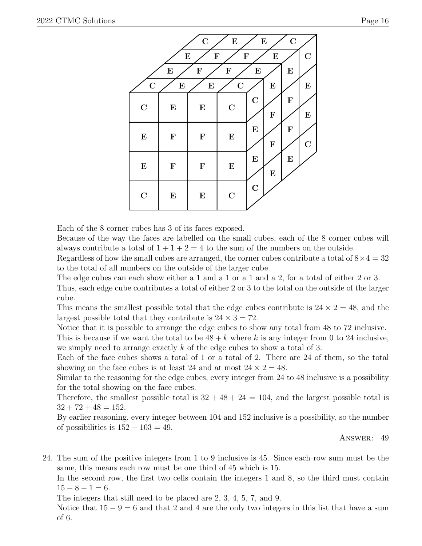

Each of the 8 corner cubes has 3 of its faces exposed.

Because of the way the faces are labelled on the small cubes, each of the 8 corner cubes will always contribute a total of  $1 + 1 + 2 = 4$  to the sum of the numbers on the outside.

Regardless of how the small cubes are arranged, the corner cubes contribute a total of  $8 \times 4 = 32$ to the total of all numbers on the outside of the larger cube.

The edge cubes can each show either a 1 and a 1 or a 1 and a 2, for a total of either 2 or 3. Thus, each edge cube contributes a total of either 2 or 3 to the total on the outside of the larger cube.

This means the smallest possible total that the edge cubes contribute is  $24 \times 2 = 48$ , and the largest possible total that they contribute is  $24 \times 3 = 72$ .

Notice that it is possible to arrange the edge cubes to show any total from 48 to 72 inclusive.

This is because if we want the total to be  $48 + k$  where k is any integer from 0 to 24 inclusive, we simply need to arrange exactly  $k$  of the edge cubes to show a total of 3.

Each of the face cubes shows a total of 1 or a total of 2. There are 24 of them, so the total showing on the face cubes is at least 24 and at most  $24 \times 2 = 48$ .

Similar to the reasoning for the edge cubes, every integer from 24 to 48 inclusive is a possibility for the total showing on the face cubes.

Therefore, the smallest possible total is  $32 + 48 + 24 = 104$ , and the largest possible total is  $32 + 72 + 48 = 152.$ 

By earlier reasoning, every integer between 104 and 152 inclusive is a possibility, so the number of possibilities is  $152 - 103 = 49$ .

Answer: 49

24. The sum of the positive integers from 1 to 9 inclusive is 45. Since each row sum must be the same, this means each row must be one third of 45 which is 15.

In the second row, the first two cells contain the integers 1 and 8, so the third must contain  $15 - 8 - 1 = 6.$ 

The integers that still need to be placed are 2, 3, 4, 5, 7, and 9.

Notice that  $15 - 9 = 6$  and that 2 and 4 are the only two integers in this list that have a sum of 6.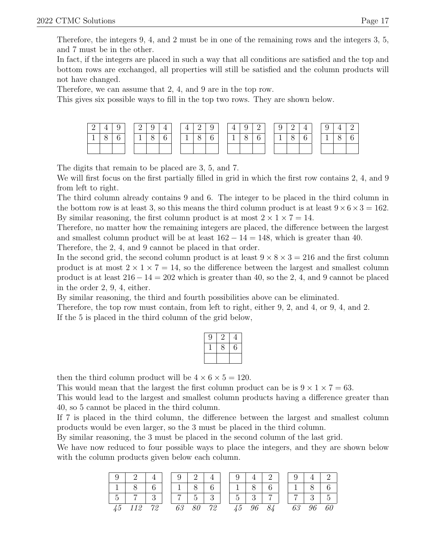Therefore, the integers 9, 4, and 2 must be in one of the remaining rows and the integers 3, 5, and 7 must be in the other.

In fact, if the integers are placed in such a way that all conditions are satisfied and the top and bottom rows are exchanged, all properties will still be satisfied and the column products will not have changed.

Therefore, we can assume that 2, 4, and 9 are in the top row.

This gives six possible ways to fill in the top two rows. They are shown below.

| ↵ |  | ∠ | ч<br>Ω |   |  |   | υ |   | u |  | Q<br>J | <u>_</u> |        | ◡ |  |
|---|--|---|--------|---|--|---|---|---|---|--|--------|----------|--------|---|--|
|   |  |   |        | n |  | ◡ |   | - |   |  |        | ◡        | $\sim$ |   |  |
|   |  |   |        |   |  |   |   |   |   |  |        |          |        |   |  |

The digits that remain to be placed are 3, 5, and 7.

We will first focus on the first partially filled in grid in which the first row contains 2, 4, and 9 from left to right.

The third column already contains 9 and 6. The integer to be placed in the third column in the bottom row is at least 3, so this means the third column product is at least  $9 \times 6 \times 3 = 162$ . By similar reasoning, the first column product is at most  $2 \times 1 \times 7 = 14$ .

Therefore, no matter how the remaining integers are placed, the difference between the largest and smallest column product will be at least  $162 - 14 = 148$ , which is greater than 40. Therefore, the 2, 4, and 9 cannot be placed in that order.

In the second grid, the second column product is at least  $9 \times 8 \times 3 = 216$  and the first column product is at most  $2 \times 1 \times 7 = 14$ , so the difference between the largest and smallest column product is at least  $216 - 14 = 202$  which is greater than 40, so the 2, 4, and 9 cannot be placed

in the order 2, 9, 4, either.

By similar reasoning, the third and fourth possibilities above can be eliminated.

Therefore, the top row must contain, from left to right, either 9, 2, and 4, or 9, 4, and 2. If the 5 is placed in the third column of the grid below,

| Y |  |
|---|--|
|   |  |
|   |  |

then the third column product will be  $4 \times 6 \times 5 = 120$ .

This would mean that the largest the first column product can be is  $9 \times 1 \times 7 = 63$ .

This would lead to the largest and smallest column products having a difference greater than 40, so 5 cannot be placed in the third column.

If 7 is placed in the third column, the difference between the largest and smallest column products would be even larger, so the 3 must be placed in the third column.

By similar reasoning, the 3 must be placed in the second column of the last grid.

We have now reduced to four possible ways to place the integers, and they are shown below with the column products given below each column.

|             |        |  |    |       |    |                | 8 <sup>1</sup> |            |    |    |   |
|-------------|--------|--|----|-------|----|----------------|----------------|------------|----|----|---|
|             |        |  |    | $5 -$ |    | 5 <sup>1</sup> |                | $3 \mid 7$ |    |    | ► |
| $\sqrt{45}$ | 112 72 |  | 63 | 80    | 72 | $\sqrt{45}$    | 96             | 84         | 63 | 96 |   |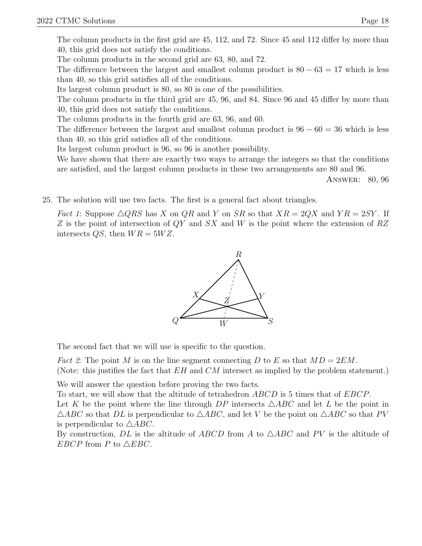The column products in the first grid are 45, 112, and 72. Since 45 and 112 differ by more than 40, this grid does not satisfy the conditions.

The column products in the second grid are 63, 80, and 72.

The difference between the largest and smallest column product is  $80 - 63 = 17$  which is less than 40, so this grid satisfies all of the conditions.

Its largest column product is 80, so 80 is one of the possibilities.

The column products in the third grid are 45, 96, and 84. Since 96 and 45 differ by more than 40, this grid does not satisfy the conditions.

The column products in the fourth grid are 63, 96, and 60.

The difference between the largest and smallest column product is  $96 - 60 = 36$  which is less than 40, so this grid satisfies all of the conditions.

Its largest column product is 96, so 96 is another possibility.

We have shown that there are exactly two ways to arrange the integers so that the conditions are satisfied, and the largest column products in these two arrangements are 80 and 96.

Answer: 80, 96

25. The solution will use two facts. The first is a general fact about triangles.

Fact 1: Suppose  $\triangle QRS$  has X on  $QR$  and Y on SR so that  $XR = 2QX$  and  $YA = 2SY$ . If  $Z$  is the point of intersection of  $QY$  and  $SX$  and  $W$  is the point where the extension of  $RZ$ intersects  $QS$ , then  $WR = 5WZ$ .



The second fact that we will use is specific to the question.

*Fact 2*: The point M is on the line segment connecting D to E so that  $MD = 2EM$ .

(Note: this justifies the fact that  $EH$  and  $CM$  intersect as implied by the problem statement.)

We will answer the question before proving the two facts.

To start, we will show that the altitude of tetrahedron ABCD is 5 times that of EBCP.

Let K be the point where the line through DP intersects  $\triangle ABC$  and let L be the point in  $\triangle ABC$  so that DL is perpendicular to  $\triangle ABC$ , and let V be the point on  $\triangle ABC$  so that PV is perpendicular to  $\triangle ABC$ .

By construction, DL is the altitude of ABCD from A to  $\triangle ABC$  and PV is the altitude of EBCP from P to  $\triangle EBC$ .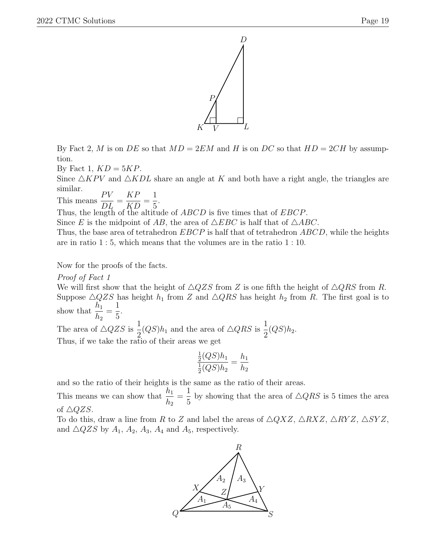

By Fact 2, M is on DE so that  $MD = 2EM$  and H is on DC so that  $HD = 2CH$  by assumption.

By Fact 1,  $KD = 5KP$ .

Since  $\triangle$ KPV and  $\triangle$ KDL share an angle at K and both have a right angle, the triangles are similar.

This means  $\frac{PV}{Dt}$ DL = KP KD = 1 5 .

Thus, the length of the altitude of *ABCD* is five times that of *EBCP*.

Since E is the midpoint of AB, the area of  $\triangle EBC$  is half that of  $\triangle ABC$ .

Thus, the base area of tetrahedron  $EBCP$  is half that of tetrahedron  $ABCD$ , while the heights are in ratio 1 : 5, which means that the volumes are in the ratio 1 : 10.

Now for the proofs of the facts.

Proof of Fact 1

We will first show that the height of  $\triangle QZS$  from Z is one fifth the height of  $\triangle QRS$  from R. Suppose  $\triangle QZS$  has height  $h_1$  from Z and  $\triangle QRS$  has height  $h_2$  from R. The first goal is to show that  $\frac{h_1}{h_1}$  $h_2$ = 1 5 .

The area of  $\triangle QZS$  is  $\frac{1}{2}$  $\frac{1}{2}(QS)h_1$  and the area of  $\triangle QRS$  is  $\frac{1}{2}$  $\frac{1}{2}(QS)h_2.$ Thus, if we take the ratio of their areas we get

$$
\frac{\frac{1}{2}(QS)h_1}{\frac{1}{2}(QS)h_2} = \frac{h_1}{h_2}
$$

and so the ratio of their heights is the same as the ratio of their areas.

This means we can show that  $\frac{h_1}{h_1}$  $h_2$ = 1 5 by showing that the area of  $\triangle QRS$  is 5 times the area of  $\triangle QZS$ .

To do this, draw a line from R to Z and label the areas of  $\triangle QXZ$ ,  $\triangle RXZ$ ,  $\triangle RYZ$ ,  $\triangle SYZ$ , and  $\triangle QZS$  by  $A_1$ ,  $A_2$ ,  $A_3$ ,  $A_4$  and  $A_5$ , respectively.

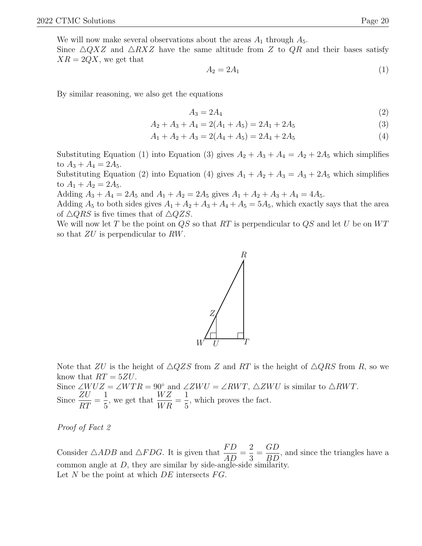We will now make several observations about the areas  $A_1$  through  $A_5$ . Since  $\triangle QXZ$  and  $\triangle RXZ$  have the same altitude from Z to  $QR$  and their bases satisfy  $XR = 2QX$ , we get that

$$
A_2 = 2A_1 \tag{1}
$$

By similar reasoning, we also get the equations

$$
A_3 = 2A_4 \tag{2}
$$

$$
A_2 + A_3 + A_4 = 2(A_1 + A_5) = 2A_1 + 2A_5 \tag{3}
$$

$$
A_1 + A_2 + A_3 = 2(A_4 + A_5) = 2A_4 + 2A_5
$$
\n<sup>(4)</sup>

Substituting Equation (1) into Equation (3) gives  $A_2 + A_3 + A_4 = A_2 + 2A_5$  which simplifies to  $A_3 + A_4 = 2A_5$ .

Substituting Equation (2) into Equation (4) gives  $A_1 + A_2 + A_3 = A_3 + 2A_5$  which simplifies to  $A_1 + A_2 = 2A_5$ .

Adding  $A_3 + A_4 = 2A_5$  and  $A_1 + A_2 = 2A_5$  gives  $A_1 + A_2 + A_3 + A_4 = 4A_5$ .

Adding  $A_5$  to both sides gives  $A_1 + A_2 + A_3 + A_4 + A_5 = 5A_5$ , which exactly says that the area of  $\triangle QRS$  is five times that of  $\triangle QZS$ .

We will now let T be the point on  $QS$  so that RT is perpendicular to  $QS$  and let U be on WT so that ZU is perpendicular to RW.



Note that ZU is the height of  $\triangle QZS$  from Z and RT is the height of  $\triangle QRS$  from R, so we know that  $RT = 5ZU$ .

Since ∠ $WUZ = \angle WTR = 90^{\circ}$  and ∠ $ZWU = \angle RWT$ ,  $\triangle ZWU$  is similar to  $\triangle RWT$ . Since  $\frac{ZU}{RT}$ RT = 1 5 , we get that  $\frac{WZ}{WZ}$  $WR$ = 1 5 , which proves the fact.

Proof of Fact 2

Consider  $\triangle ADB$  and  $\triangle FDG$ . It is given that  $\frac{FD}{AD}$  $\frac{1}{AD} =$ 2 3 = GD  $BD$ , and since the triangles have a common angle at D, they are similar by side-angle-side similarity. Let N be the point at which  $DE$  intersects  $FG$ .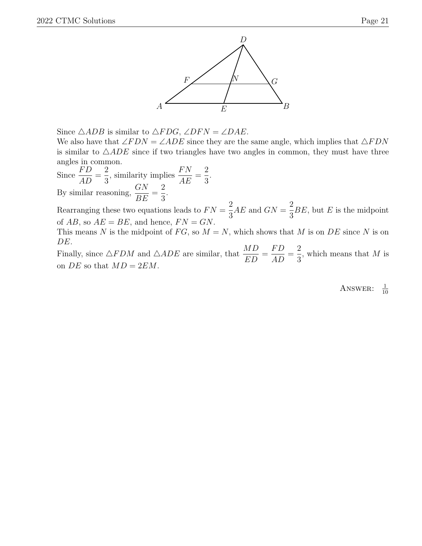

Since  $\triangle ADB$  is similar to  $\triangle FDG$ ,  $\angle DFN = \angle DAE$ .

We also have that  $\angle FDN = \angle ADE$  since they are the same angle, which implies that  $\triangle FDN$ is similar to  $\triangle ADE$  since if two triangles have two angles in common, they must have three angles in common.

.

Since  $\frac{FD}{4 D}$  $\frac{1}{AD} =$ 2 3 , similarity implies  $\frac{FN}{4}$  $\frac{1}{AE}$  = 2 3 By similar reasoning,  $\frac{GN}{RT}$ BE = 2 3 .

Rearranging these two equations leads to  $FN =$ 2 3  $AE$  and  $GN =$ 2 3  $BE$ , but  $E$  is the midpoint of  $AB$ , so  $AE = BE$ , and hence,  $FN = GN$ .

This means N is the midpoint of FG, so  $M = N$ , which shows that M is on DE since N is on DE.

Finally, since  $\triangle FDM$  and  $\triangle ADE$  are similar, that  $\frac{MD}{ED}$ ED = F D  $\frac{1}{AD} =$ 2 3 , which means that  $M$  is on DE so that  $MD = 2EM$ .

> ANSWER:  $\frac{1}{10}$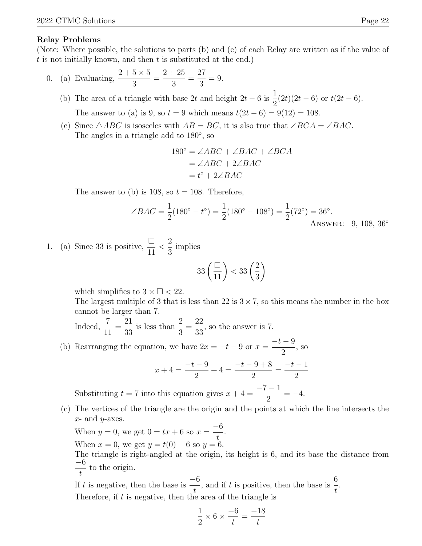#### Relay Problems

(Note: Where possible, the solutions to parts (b) and (c) of each Relay are written as if the value of t is not initially known, and then t is substituted at the end.)

- 0. (a) Evaluating,  $\frac{2+5\times5}{2}$ 3 =  $2 + 25$ 3 = 27 3  $= 9.$ 
	- (b) The area of a triangle with base 2t and height  $2t 6$  is  $\frac{1}{2}$ 2  $(2t)(2t-6)$  or  $t(2t-6)$ . The answer to (a) is 9, so  $t = 9$  which means  $t(2t - 6) = 9(12) = 108$ .
	- (c) Since  $\triangle ABC$  is isosceles with  $AB = BC$ , it is also true that  $\angle BCA = \angle BAC$ . The angles in a triangle add to  $180^\circ$ , so

$$
180^{\circ} = \angle ABC + \angle BAC + \angle BCA
$$
  
=  $\angle ABC + 2\angle BAC$   
=  $t^{\circ} + 2\angle BAC$ 

The answer to (b) is 108, so  $t = 108$ . Therefore,

$$
\angle BAC = \frac{1}{2}(180^\circ - t^\circ) = \frac{1}{2}(180^\circ - 108^\circ) = \frac{1}{2}(72^\circ) = 36^\circ.
$$
  
Answer: 9, 108, 36°

1. (a) Since 33 is positive,  $\frac{\Box}{\Box}$ 11  $\lt$ 2 3 implies

$$
33\left(\frac{\square}{11}\right) < 33\left(\frac{2}{3}\right)
$$

which simplifies to  $3 \times \square < 22$ .

The largest multiple of 3 that is less than 22 is  $3 \times 7$ , so this means the number in the box cannot be larger than 7.

Indeed,  $\frac{7}{11}$ 11 = 21 33 is less than  $\frac{2}{3}$ 3 = 22 33 , so the answer is 7.

(b) Rearranging the equation, we have  $2x = -t - 9$  or  $x =$  $-t-9$ 2 , so

$$
x + 4 = \frac{-t - 9}{2} + 4 = \frac{-t - 9 + 8}{2} = \frac{-t - 1}{2}
$$

Substituting  $t = 7$  into this equation gives  $x + 4 =$  $-7-1$ 2  $=-4.$ 

(c) The vertices of the triangle are the origin and the points at which the line intersects the  $x$ - and  $y$ -axes.

When  $y = 0$ , we get  $0 = tx + 6$  so  $x =$ −6 t . When  $x = 0$ , we get  $y = t(0) + 6$  so  $y = 6$ .

The triangle is right-angled at the origin, its height is 6, and its base the distance from −6 t to the origin.

If t is negative, then the base is  $\frac{-6}{4}$ t , and if t is positive, then the base is  $\frac{6}{4}$ t . Therefore, if  $t$  is negative, then the area of the triangle is

$$
\frac{1}{2} \times 6 \times \frac{-6}{t} = \frac{-18}{t}
$$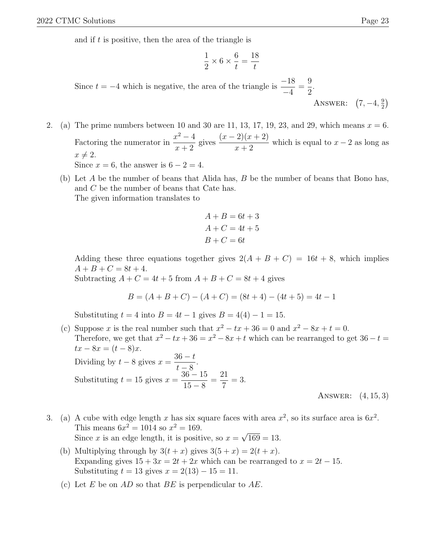and if  $t$  is positive, then the area of the triangle is

$$
\frac{1}{2} \times 6 \times \frac{6}{t} = \frac{18}{t}
$$

Since  $t = -4$  which is negative, the area of the triangle is  $\frac{-18}{4}$ −4 = 9 2 . ANSWER:  $(7, -4, \frac{9}{2})$ 

- 2. (a) The prime numbers between 10 and 30 are 11, 13, 17, 19, 23, and 29, which means  $x = 6$ . Factoring the numerator in  $\frac{x^2-4}{x^2-4}$  $x + 2$ gives  $(x - 2)(x + 2)$  $x + 2$ which is equal to  $x - 2$  as long as  $x \neq 2$ . Since  $x = 6$ , the answer is  $6 - 2 = 4$ .
	- (b) Let A be the number of beans that Alida has,  $B$  be the number of beans that Bono has, and C be the number of beans that Cate has. The given information translates to

$$
A + B = 6t + 3
$$

$$
A + C = 4t + 5
$$

$$
B + C = 6t
$$

Adding these three equations together gives  $2(A + B + C) = 16t + 8$ , which implies  $A + B + C = 8t + 4.$ 

Subtracting  $A + C = 4t + 5$  from  $A + B + C = 8t + 4$  gives

$$
B = (A + B + C) - (A + C) = (8t + 4) - (4t + 5) = 4t - 1
$$

Substituting  $t = 4$  into  $B = 4t - 1$  gives  $B = 4(4) - 1 = 15$ .

- (c) Suppose x is the real number such that  $x^2 tx + 36 = 0$  and  $x^2 8x + t = 0$ . Therefore, we get that  $x^2 - tx + 36 = x^2 - 8x + t$  which can be rearranged to get  $36 - t =$  $tx - 8x = (t - 8)x$ . Dividing by  $t - 8$  gives  $x =$  $36 - t$  $t-8$ . Substituting  $t = 15$  gives  $x =$  $36 - 15$  $15 - 8$ = 21 7  $= 3.$ Answer: (4, 15, 3)
- 3. (a) A cube with edge length x has six square faces with area  $x^2$ , so its surface area is  $6x^2$ . This means  $6x^2 = 1014$  so  $x^2 = 169$ . Since x is an edge length, it is positive, so  $x =$ √  $169 = 13.$ 
	- (b) Multiplying through by  $3(t+x)$  gives  $3(5+x) = 2(t+x)$ . Expanding gives  $15 + 3x = 2t + 2x$  which can be rearranged to  $x = 2t - 15$ . Substituting  $t = 13$  gives  $x = 2(13) - 15 = 11$ .
	- (c) Let E be on AD so that BE is perpendicular to  $AE$ .

 $\frac{9}{2}$